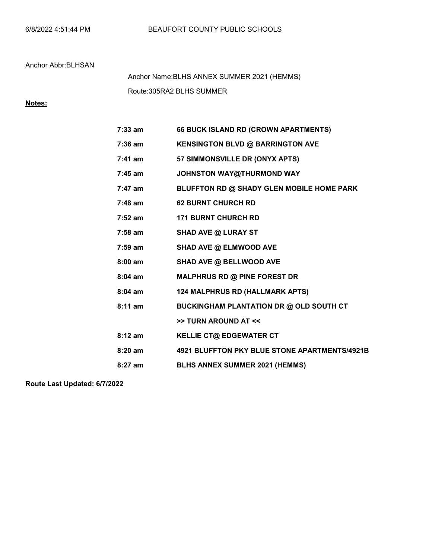Route:305RA2 BLHS SUMMER Anchor Name:BLHS ANNEX SUMMER 2021 (HEMMS)

## Notes:

| $7:33$ am | 66 BUCK ISLAND RD (CROWN APARTMENTS)           |
|-----------|------------------------------------------------|
| $7:36$ am | <b>KENSINGTON BLVD @ BARRINGTON AVE</b>        |
| $7:41$ am | 57 SIMMONSVILLE DR (ONYX APTS)                 |
| $7:45$ am | JOHNSTON WAY@THURMOND WAY                      |
| $7:47$ am | BLUFFTON RD @ SHADY GLEN MOBILE HOME PARK      |
| $7:48$ am | <b>62 BURNT CHURCH RD</b>                      |
| $7:52$ am | <b>171 BURNT CHURCH RD</b>                     |
| $7:58$ am | <b>SHAD AVE @ LURAY ST</b>                     |
| $7:59$ am | SHAD AVE @ ELMWOOD AVE                         |
| $8:00$ am | SHAD AVE @ BELLWOOD AVE                        |
| $8:04$ am | <b>MALPHRUS RD @ PINE FOREST DR</b>            |
| $8:04$ am | 124 MALPHRUS RD (HALLMARK APTS)                |
| $8:11$ am | <b>BUCKINGHAM PLANTATION DR @ OLD SOUTH CT</b> |
|           | >> TURN AROUND AT <<                           |
| $8:12$ am | <b>KELLIE CT@ EDGEWATER CT</b>                 |
| $8:20$ am | 4921 BLUFFTON PKY BLUE STONE APARTMENTS/4921B  |
| $8:27$ am | BLHS ANNEX SUMMER 2021 (HEMMS)                 |
|           |                                                |

Route Last Updated: 6/7/2022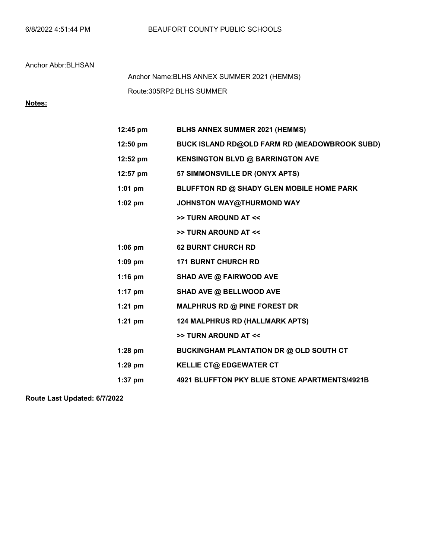Route:305RP2 BLHS SUMMER Anchor Name:BLHS ANNEX SUMMER 2021 (HEMMS)

# Notes:

| 12:45 pm   | <b>BLHS ANNEX SUMMER 2021 (HEMMS)</b>          |
|------------|------------------------------------------------|
| $12:50$ pm | BUCK ISLAND RD@OLD FARM RD (MEADOWBROOK SUBD)  |
| 12:52 pm   | KENSINGTON BLVD @ BARRINGTON AVE               |
| 12:57 pm   | 57 SIMMONSVILLE DR (ONYX APTS)                 |
| $1:01$ pm  | BLUFFTON RD @ SHADY GLEN MOBILE HOME PARK      |
| $1:02$ pm  | JOHNSTON WAY@THURMOND WAY                      |
|            | >> TURN AROUND AT <<                           |
|            | >> TURN AROUND AT <<                           |
| $1:06$ pm  | <b>62 BURNT CHURCH RD</b>                      |
| $1:09$ pm  | <b>171 BURNT CHURCH RD</b>                     |
| $1:16$ pm  | SHAD AVE @ FAIRWOOD AVE                        |
| $1:17$ pm  | SHAD AVE @ BELLWOOD AVE                        |
| $1:21$ pm  | MALPHRUS RD @ PINE FOREST DR                   |
| $1:21$ pm  | 124 MALPHRUS RD (HALLMARK APTS)                |
|            | >> TURN AROUND AT <<                           |
| $1:28$ pm  | <b>BUCKINGHAM PLANTATION DR @ OLD SOUTH CT</b> |
| $1:29$ pm  | <b>KELLIE CT@ EDGEWATER CT</b>                 |
| $1:37$ pm  | 4921 BLUFFTON PKY BLUE STONE APARTMENTS/4921B  |
|            |                                                |

Route Last Updated: 6/7/2022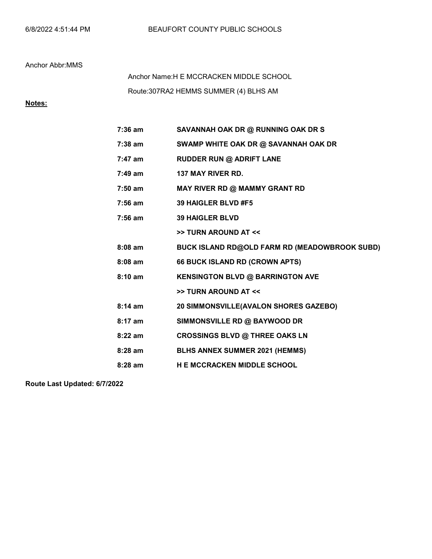### Anchor Abbr:MMS

Route:307RA2 HEMMS SUMMER (4) BLHS AM Anchor Name:H E MCCRACKEN MIDDLE SCHOOL

## Notes:

| $7:36$ am         | SAVANNAH OAK DR @ RUNNING OAK DR S            |
|-------------------|-----------------------------------------------|
| 7:38 am           | SWAMP WHITE OAK DR @ SAVANNAH OAK DR          |
| 7:47 am           | <b>RUDDER RUN @ ADRIFT LANE</b>               |
| $7:49$ am         | <b>137 MAY RIVER RD.</b>                      |
| $7:50$ am         | MAY RIVER RD @ MAMMY GRANT RD                 |
| $7:56$ am         | 39 HAIGLER BLVD #F5                           |
| 7:56 am           | <b>39 HAIGLER BLVD</b>                        |
|                   | >> TURN AROUND AT <<                          |
| $8:08$ am         | BUCK ISLAND RD@OLD FARM RD (MEADOWBROOK SUBD) |
| $8:08$ am         | 66 BUCK ISLAND RD (CROWN APTS)                |
| $8:10 \text{ am}$ | <b>KENSINGTON BLVD @ BARRINGTON AVE</b>       |
|                   | >> TURN AROUND AT <<                          |
| $8:14$ am         | 20 SIMMONSVILLE(AVALON SHORES GAZEBO)         |
| $8:17$ am         | SIMMONSVILLE RD @ BAYWOOD DR                  |
| $8:22$ am         | <b>CROSSINGS BLVD @ THREE OAKS LN</b>         |
| $8:28$ am         | <b>BLHS ANNEX SUMMER 2021 (HEMMS)</b>         |
| $8:28$ am         | <b>H E MCCRACKEN MIDDLE SCHOOL</b>            |
|                   |                                               |

Route Last Updated: 6/7/2022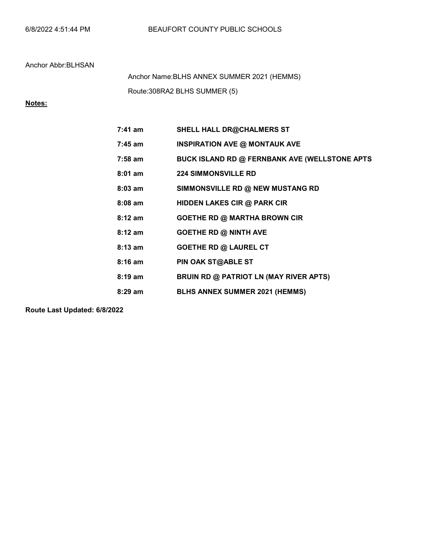Route:308RA2 BLHS SUMMER (5) Anchor Name:BLHS ANNEX SUMMER 2021 (HEMMS)

Notes:

| $7:41$ am         | <b>SHELL HALL DR@CHALMERS ST</b>              |
|-------------------|-----------------------------------------------|
| $7:45$ am         | <b>INSPIRATION AVE @ MONTAUK AVE</b>          |
| $7:58$ am         | BUCK ISLAND RD @ FERNBANK AVE (WELLSTONE APTS |
| $8:01$ am         | <b>224 SIMMONSVILLE RD</b>                    |
| $8:03$ am         | SIMMONSVILLE RD @ NEW MUSTANG RD              |
| $8:08$ am         | HIDDEN LAKES CIR @ PARK CIR                   |
| $8:12 \text{ am}$ | <b>GOETHE RD @ MARTHA BROWN CIR</b>           |
| $8:12 \text{ am}$ | <b>GOETHE RD @ NINTH AVE</b>                  |
| $8:13$ am         | <b>GOETHE RD @ LAUREL CT</b>                  |
| $8:16$ am         | PIN OAK ST@ABLE ST                            |
| $8:19 \text{ am}$ | <b>BRUIN RD @ PATRIOT LN (MAY RIVER APTS)</b> |
| $8:29$ am         | <b>BLHS ANNEX SUMMER 2021 (HEMMS)</b>         |

Route Last Updated: 6/8/2022